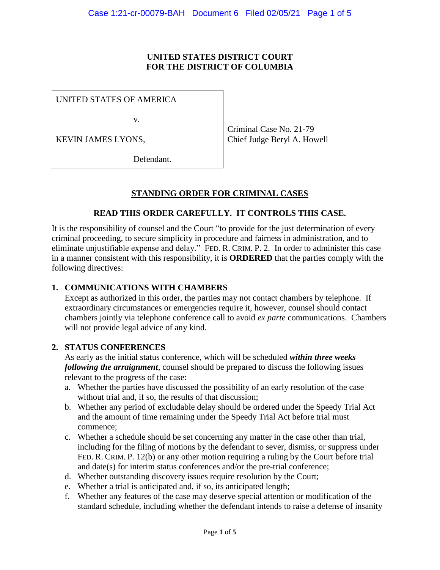#### **UNITED STATES DISTRICT COURT FOR THE DISTRICT OF COLUMBIA**

UNITED STATES OF AMERICA

v.

KEVIN JAMES LYONS,

Criminal Case No. 21-79 Chief Judge Beryl A. Howell

Defendant.

## **STANDING ORDER FOR CRIMINAL CASES**

### **READ THIS ORDER CAREFULLY. IT CONTROLS THIS CASE.**

It is the responsibility of counsel and the Court "to provide for the just determination of every criminal proceeding, to secure simplicity in procedure and fairness in administration, and to eliminate unjustifiable expense and delay." FED. R. CRIM. P. 2. In order to administer this case in a manner consistent with this responsibility, it is **ORDERED** that the parties comply with the following directives:

### **1. COMMUNICATIONS WITH CHAMBERS**

Except as authorized in this order, the parties may not contact chambers by telephone. If extraordinary circumstances or emergencies require it, however, counsel should contact chambers jointly via telephone conference call to avoid *ex parte* communications. Chambers will not provide legal advice of any kind.

#### **2. STATUS CONFERENCES**

As early as the initial status conference, which will be scheduled *within three weeks following the arraignment*, counsel should be prepared to discuss the following issues relevant to the progress of the case:

- a. Whether the parties have discussed the possibility of an early resolution of the case without trial and, if so, the results of that discussion;
- b. Whether any period of excludable delay should be ordered under the Speedy Trial Act and the amount of time remaining under the Speedy Trial Act before trial must commence;
- c. Whether a schedule should be set concerning any matter in the case other than trial, including for the filing of motions by the defendant to sever, dismiss, or suppress under FED. R. CRIM. P. 12(b) or any other motion requiring a ruling by the Court before trial and date(s) for interim status conferences and/or the pre-trial conference;
- d. Whether outstanding discovery issues require resolution by the Court;
- e. Whether a trial is anticipated and, if so, its anticipated length;
- f. Whether any features of the case may deserve special attention or modification of the standard schedule, including whether the defendant intends to raise a defense of insanity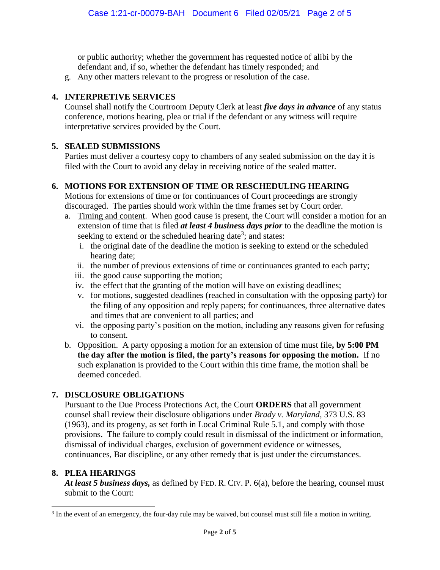or public authority; whether the government has requested notice of alibi by the defendant and, if so, whether the defendant has timely responded; and

g. Any other matters relevant to the progress or resolution of the case.

## **4. INTERPRETIVE SERVICES**

Counsel shall notify the Courtroom Deputy Clerk at least *five days in advance* of any status conference, motions hearing, plea or trial if the defendant or any witness will require interpretative services provided by the Court.

### **5. SEALED SUBMISSIONS**

Parties must deliver a courtesy copy to chambers of any sealed submission on the day it is filed with the Court to avoid any delay in receiving notice of the sealed matter.

## **6. MOTIONS FOR EXTENSION OF TIME OR RESCHEDULING HEARING**

Motions for extensions of time or for continuances of Court proceedings are strongly discouraged. The parties should work within the time frames set by Court order.

- a. Timing and content. When good cause is present, the Court will consider a motion for an extension of time that is filed *at least 4 business days prior* to the deadline the motion is seeking to extend or the scheduled hearing date<sup>3</sup>; and states:
	- i. the original date of the deadline the motion is seeking to extend or the scheduled hearing date;
	- ii. the number of previous extensions of time or continuances granted to each party;
	- iii. the good cause supporting the motion;
	- iv. the effect that the granting of the motion will have on existing deadlines;
	- v. for motions, suggested deadlines (reached in consultation with the opposing party) for the filing of any opposition and reply papers; for continuances, three alternative dates and times that are convenient to all parties; and
	- vi. the opposing party's position on the motion, including any reasons given for refusing to consent.
- b. Opposition. A party opposing a motion for an extension of time must file**, by 5:00 PM the day after the motion is filed, the party's reasons for opposing the motion.** If no such explanation is provided to the Court within this time frame, the motion shall be deemed conceded.

### **7. DISCLOSURE OBLIGATIONS**

Pursuant to the Due Process Protections Act, the Court **ORDERS** that all government counsel shall review their disclosure obligations under *Brady v. Maryland*, 373 U.S. 83 (1963), and its progeny, as set forth in Local Criminal Rule 5.1, and comply with those provisions. The failure to comply could result in dismissal of the indictment or information, dismissal of individual charges, exclusion of government evidence or witnesses, continuances, Bar discipline, or any other remedy that is just under the circumstances.

### **8. PLEA HEARINGS**

l

*At least 5 business days,* as defined by FED. R. CIV. P. 6(a), before the hearing, counsel must submit to the Court:

<sup>&</sup>lt;sup>3</sup> In the event of an emergency, the four-day rule may be waived, but counsel must still file a motion in writing.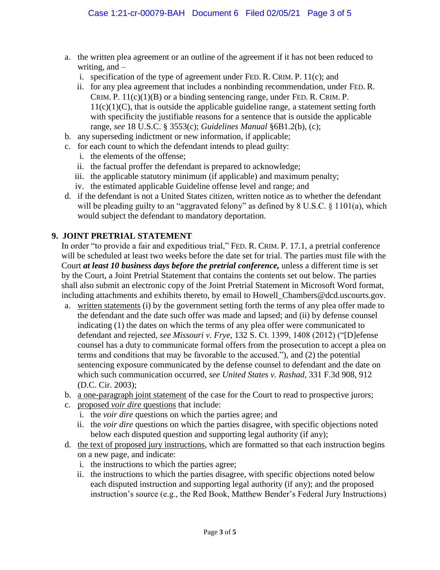- a. the written plea agreement or an outline of the agreement if it has not been reduced to writing, and  $$ 
	- i. specification of the type of agreement under FED. R. CRIM. P. 11(c); and
	- ii. for any plea agreement that includes a nonbinding recommendation, under FED. R. CRIM. P.  $11(c)(1)(B)$  or a binding sentencing range, under FED. R. CRIM. P.  $11(c)(1)(C)$ , that is outside the applicable guideline range, a statement setting forth with specificity the justifiable reasons for a sentence that is outside the applicable range, *see* 18 U.S.C. § 3553(c); *Guidelines Manual* §6B1.2(b), (c);
- b. any superseding indictment or new information, if applicable;
- c. for each count to which the defendant intends to plead guilty:
	- i. the elements of the offense;
	- ii. the factual proffer the defendant is prepared to acknowledge;
	- iii. the applicable statutory minimum (if applicable) and maximum penalty;
	- iv. the estimated applicable Guideline offense level and range; and
- d. if the defendant is not a United States citizen, written notice as to whether the defendant will be pleading guilty to an "aggravated felony" as defined by 8 U.S.C. § 1101(a), which would subject the defendant to mandatory deportation.

#### **9. JOINT PRETRIAL STATEMENT**

In order "to provide a fair and expeditious trial," FED. R. CRIM. P. 17.1, a pretrial conference will be scheduled at least two weeks before the date set for trial. The parties must file with the Court *at least 10 business days before the pretrial conference,* unless a different time is set by the Court, a Joint Pretrial Statement that contains the contents set out below. The parties shall also submit an electronic copy of the Joint Pretrial Statement in Microsoft Word format, including attachments and exhibits thereto, by email to Howell\_Chambers@dcd.uscourts.gov.

- a. written statements (i) by the government setting forth the terms of any plea offer made to the defendant and the date such offer was made and lapsed; and (ii) by defense counsel indicating (1) the dates on which the terms of any plea offer were communicated to defendant and rejected, *see Missouri v. Frye*, 132 S. Ct. 1399, 1408 (2012) ("[D]efense counsel has a duty to communicate formal offers from the prosecution to accept a plea on terms and conditions that may be favorable to the accused."), and (2) the potential sentencing exposure communicated by the defense counsel to defendant and the date on which such communication occurred, *see United States v. Rashad*, 331 F.3d 908, 912 (D.C. Cir. 2003);
- b. a one-paragraph joint statement of the case for the Court to read to prospective jurors;
- c. proposed *voir dire* questions that include:
	- i. the *voir dire* questions on which the parties agree; and
	- ii. the *voir dire* questions on which the parties disagree, with specific objections noted below each disputed question and supporting legal authority (if any);
- d. the text of proposed jury instructions, which are formatted so that each instruction begins on a new page, and indicate:
	- i. the instructions to which the parties agree;
	- ii. the instructions to which the parties disagree, with specific objections noted below each disputed instruction and supporting legal authority (if any); and the proposed instruction's source (e.g., the Red Book, Matthew Bender's Federal Jury Instructions)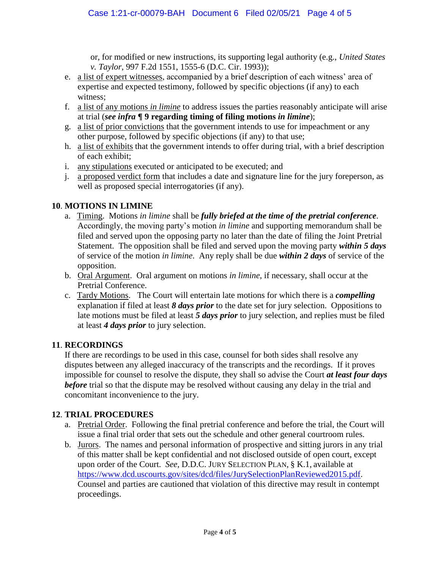or, for modified or new instructions, its supporting legal authority (e.g., *United States v. Taylor*, 997 F.2d 1551, 1555-6 (D.C. Cir. 1993));

- e. a list of expert witnesses, accompanied by a brief description of each witness' area of expertise and expected testimony, followed by specific objections (if any) to each witness;
- f. a list of any motions *in limine* to address issues the parties reasonably anticipate will arise at trial (*see infra* **¶ 9 regarding timing of filing motions** *in limine*);
- g. a list of prior convictions that the government intends to use for impeachment or any other purpose, followed by specific objections (if any) to that use;
- h. a list of exhibits that the government intends to offer during trial, with a brief description of each exhibit;
- i. any stipulations executed or anticipated to be executed; and
- j. a proposed verdict form that includes a date and signature line for the jury foreperson, as well as proposed special interrogatories (if any).

# **10**. **MOTIONS IN LIMINE**

- a. Timing.Motions *in limine* shall be *fully briefed at the time of the pretrial conference*. Accordingly, the moving party's motion *in limine* and supporting memorandum shall be filed and served upon the opposing party no later than the date of filing the Joint Pretrial Statement. The opposition shall be filed and served upon the moving party *within 5 days* of service of the motion *in limine*. Any reply shall be due *within 2 days* of service of the opposition.
- b. Oral Argument. Oral argument on motions *in limine*, if necessary, shall occur at the Pretrial Conference.
- c. Tardy Motions. The Court will entertain late motions for which there is a *compelling* explanation if filed at least *8 days prior* to the date set for jury selection. Oppositions to late motions must be filed at least *5 days prior* to jury selection, and replies must be filed at least *4 days prior* to jury selection.

# **11**. **RECORDINGS**

If there are recordings to be used in this case, counsel for both sides shall resolve any disputes between any alleged inaccuracy of the transcripts and the recordings. If it proves impossible for counsel to resolve the dispute, they shall so advise the Court *at least four days before* trial so that the dispute may be resolved without causing any delay in the trial and concomitant inconvenience to the jury.

### **12**. **TRIAL PROCEDURES**

- a. Pretrial Order. Following the final pretrial conference and before the trial, the Court will issue a final trial order that sets out the schedule and other general courtroom rules.
- b. Jurors. The names and personal information of prospective and sitting jurors in any trial of this matter shall be kept confidential and not disclosed outside of open court, except upon order of the Court. *See*, D.D.C. JURY SELECTION PLAN, § K.1, available at https://www.dcd.uscourts.gov/sites/dcd/files/JurySelectionPlanReviewed2015.pdf. Counsel and parties are cautioned that violation of this directive may result in contempt proceedings.